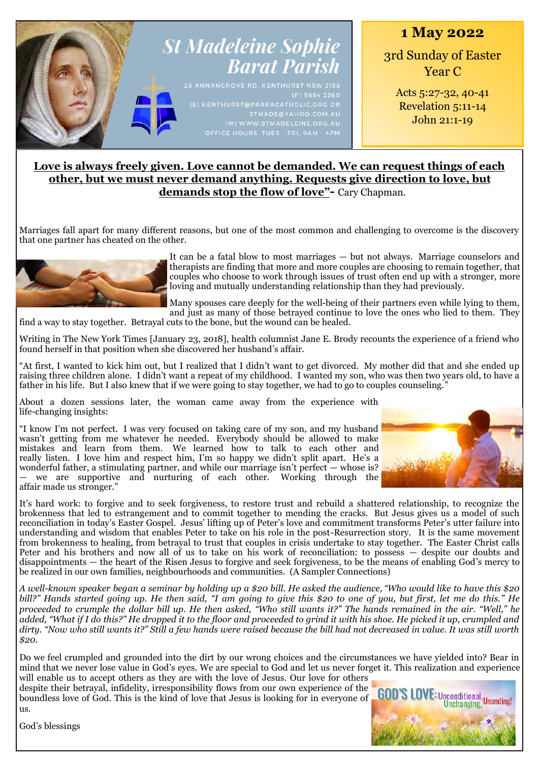

# **Love is always freely given. Love cannot be demanded. We can request things of each other, but we must never demand anything. Requests give direction to love, but demands stop the flow of love"-** Cary Chapman.

Marriages fall apart for many different reasons, but one of the most common and challenging to overcome is the discovery that one partner has cheated on the other.



It can be a fatal blow to most marriages — but not always. Marriage counselors and therapists are finding that more and more couples are choosing to remain together, that couples who choose to work through issues of trust often end up with a stronger, more loving and mutually understanding relationship than they had previously.

Many spouses care deeply for the well-being of their partners even while lying to them, and just as many of those betrayed continue to love the ones who lied to them. They

find a way to stay together. Betrayal cuts to the bone, but the wound can be healed.

Writing in The New York Times [January 23, 2018], health columnist Jane E. Brody recounts the experience of a friend who found herself in that position when she discovered her husband's affair.

"At first, I wanted to kick him out, but I realized that I didn't want to get divorced. My mother did that and she ended up raising three children alone. I didn't want a repeat of my childhood. I wanted my son, who was then two years old, to have a father in his life. But I also knew that if we were going to stay together, we had to go to couples counseling."

About a dozen sessions later, the woman came away from the experience with life-changing insights:

"I know I'm not perfect. I was very focused on taking care of my son, and my husband wasn't getting from me whatever he needed. Everybody should be allowed to make mistakes and learn from them. We learned how to talk to each other and really listen. I love him and respect him, I'm so happy we didn't split apart. He's a wonderful father, a stimulating partner, and while our marriage isn't perfect — whose is? — we are supportive and nurturing of each other. Working through the affair made us stronger."



It's hard work: to forgive and to seek forgiveness, to restore trust and rebuild a shattered relationship, to recognize the brokenness that led to estrangement and to commit together to mending the cracks. But Jesus gives us a model of such reconciliation in today's Easter Gospel. Jesus' lifting up of Peter's love and commitment transforms Peter's utter failure into understanding and wisdom that enables Peter to take on his role in the post-Resurrection story. It is the same movement from brokenness to healing, from betrayal to trust that couples in crisis undertake to stay together. The Easter Christ calls Peter and his brothers and now all of us to take on his work of reconciliation: to possess – despite our doubts and disappointments — the heart of the Risen Jesus to forgive and seek forgiveness, to be the means of enabling God's mercy to be realized in our own families, neighbourhoods and communities. (A Sampler Connections)

*A well-known speaker began a seminar by holding up a \$20 bill. He asked the audience, "Who would like to have this \$20 bill?" Hands started going up. He then said, "I am going to give this \$20 to one of you, but first, let me do this." He proceeded to crumple the dollar bill up. He then asked, "Who still wants it?" The hands remained in the air. "Well," he added, "What if I do this?" He dropped it to the floor and proceeded to grind it with his shoe. He picked it up, crumpled and dirty. "Now who still wants it?" Still a few hands were raised because the bill had not decreased in value. It was still worth \$20.*

Do we feel crumpled and grounded into the dirt by our wrong choices and the circumstances we have yielded into? Bear in mind that we never lose value in God's eyes. We are special to God and let us never forget it. This realization and experience will enable us to accept others as they are with the love of Jesus. Our love for others

despite their betrayal, infidelity, irresponsibility flows from our own experience of the boundless love of God. This is the kind of love that Jesus is looking for in everyone of us.



God's blessings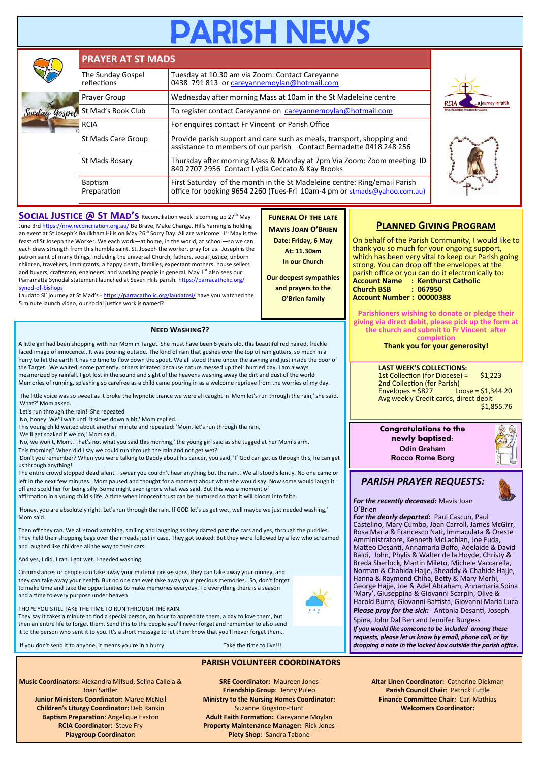# **PARISH NEV**

|  | <b>PRAYER AT ST MADS</b>         |                                                                                                                                                       |                                                |  |  |  |
|--|----------------------------------|-------------------------------------------------------------------------------------------------------------------------------------------------------|------------------------------------------------|--|--|--|
|  | The Sunday Gospel<br>reflections | Tuesday at 10.30 am via Zoom. Contact Careyanne<br>0438 791 813 or careyannemoylan@hotmail.com                                                        |                                                |  |  |  |
|  | Prayer Group                     | Wednesday after morning Mass at 10am in the St Madeleine centre                                                                                       | a journey in faith<br>RCIA                     |  |  |  |
|  | St Mad's Book Club               | To register contact Careyanne on careyannemoylan@hotmail.com                                                                                          | <b>Rite of Christian Initiation for Adults</b> |  |  |  |
|  | <b>RCIA</b>                      | For enquires contact Fr Vincent or Parish Office                                                                                                      |                                                |  |  |  |
|  | St Mads Care Group               | Provide parish support and care such as meals, transport, shopping and<br>assistance to members of our parish Contact Bernadette 0418 248 256         |                                                |  |  |  |
|  | St Mads Rosary                   | Thursday after morning Mass & Monday at 7pm Via Zoom: Zoom meeting ID<br>840 2707 2956 Contact Lydia Ceccato & Kay Brooks                             |                                                |  |  |  |
|  | Baptism<br>Preparation           | First Saturday of the month in the St Madeleine centre: Ring/email Parish<br>office for booking 9654 2260 (Tues-Fri 10am-4 pm or stmads@yahoo.com.au) |                                                |  |  |  |

**Funeral Of the late Mavis Joan O'Brien Date: Friday, 6 May At: 11.30am In our Church Our deepest sympathies and prayers to the O'Brien family**

**SOCIAL JUSTICE @ ST MAD'S** Reconciliation week is coming up 27<sup>th</sup> May – June 3rd <https://nrw.reconciliation.org.au/> Be Brave, Make Change. Hills Yarning is holding an event at St Joseph's Baulkham Hills on May 26<sup>th</sup> Sorry Day. All are welcome. 1<sup>st</sup> May is the feast of St Joseph the Worker. We each work—at home, in the world, at school—so we can each draw strength from this humble saint. St. Joseph the worker, pray for us. Joseph is the patron saint of many things, including the universal Church, fathers, social justice, unborn children, travellers, immigrants, a happy death, families, expectant mothers, house sellers and buyers, craftsmen, engineers, and working people in general. May  $1^{st}$  also sees our Parramatta Synodal statement launched at Seven Hills parish. [https://parracatholic.org/](https://parracatholic.org/synod-of-bishops) synod-of-[bishops](https://parracatholic.org/synod-of-bishops) 

Laudato Si' journey at St Mad's - <https://parracatholic.org/laudatosi/> have you watched the 5 minute launch video, our social justice work is named?

#### **Need Washing??**

A little girl had been shopping with her Mom in Target. She must have been 6 years old, this beautiful red haired, freckle faced image of innocence.. It was pouring outside. The kind of rain that gushes over the top of rain gutters, so much in a hurry to hit the earth it has no time to flow down the spout. We all stood there under the awning and just inside the door of the Target. We waited, some patiently, others irritated because nature messed up their hurried day. I am always mesmerized by rainfall. I got lost in the sound and sight of the heavens washing away the dirt and dust of the world Memories of running, splashing so carefree as a child came pouring in as a welcome reprieve from the worries of my day.

The little voice was so sweet as it broke the hypnotic trance we were all caught in 'Mom let's run through the rain,' she said. 'What?' Mom asked.

'Let's run through the rain!' She repeated

'No, honey. We'll wait until it slows down a bit,' Mom replied.

This young child waited about another minute and repeated: 'Mom, let's run through the rain,'

'We'll get soaked if we do,' Mom said..

'No, we won't, Mom.. That's not what you said this morning,' the young girl said as she tugged at her Mom's arm. This morning? When did I say we could run through the rain and not get wet?

'Don't you remember? When you were talking to Daddy about his cancer, you said, 'If God can get us through this, he can get us through anything!'

The entire crowd stopped dead silent. I swear you couldn't hear anything but the rain.. We all stood silently. No one came or left in the next few minutes. Mom paused and thought for a moment about what she would say. Now some would laugh it off and scold her for being silly. Some might even ignore what was said. But this was a moment of

affirmation in a young child's life. A time when innocent trust can be nurtured so that it will bloom into faith.

'Honey, you are absolutely right. Let's run through the rain. If GOD let's us get wet, well maybe we just needed washing,' Mom said.

Then off they ran. We all stood watching, smiling and laughing as they darted past the cars and yes, through the puddles. They held their shopping bags over their heads just in case. They got soaked. But they were followed by a few who screamed and laughed like children all the way to their cars.

And yes, I did. I ran. I got wet. I needed washing.

Circumstances or people can take away your material possessions, they can take away your money, and they can take away your health. But no one can ever take away your precious memories...So, don't forget to make time and take the opportunities to make memories everyday. To everything there is a season and a time to every purpose under heaven.



They say it takes a minute to find a special person, an hour to appreciate them, a day to love them, but then an entire life to forget them. Send this to the people you'll never forget and remember to also send it to the person who sent it to you. It's a short message to let them know that you'll never forget them..

If you don't send it to anyone, it means you're in a hurry. Take the time to live!!!

#### **PARISH VOLUNTEER COORDINATORS**

**Music Coordinators:** Alexandra Mifsud, Selina Calleia & Joan Sattler **Junior Ministers Coordinator:** Maree McNeil **Children's Liturgy Coordinator:** Deb Rankin **Baptism Preparation**: Angelique Easton **RCIA Coordinator**: Steve Fry **Playgroup Coordinator:** 

**SRE Coordinator:** Maureen Jones **Friendship Group**: Jenny Puleo **Ministry to the Nursing Homes Coordinator:**  Suzanne Kingston-Hunt **Adult Faith Formation:** Careyanne Moylan **Property Maintenance Manager:** Rick Jones **Piety Shop**: Sandra Tabone

### **Planned Giving Program**

On behalf of the Parish Community, I would like to thank you so much for your ongoing support, which has been very vital to keep our Parish going strong. You can drop off the envelopes at the parish office or you can do it electronically to: **Account Name : Kenthurst Catholic Church BSB : 067950 Account Number : 00000388**

**Parishioners wishing to donate or pledge their giving via direct debit, please pick up the form at the church and submit to Fr Vincent after completion**

**Thank you for your generosity!**

**LAST WEEK'S COLLECTIONS:** 1st Collection (for Diocese) = \$1,223 2nd Collection (for Parish)<br>Envelopes = \$827 Lo  $L'$ oose = \$1,344.20 Avg weekly Credit cards, direct debit \$1,855.76

**Congratulations to the newly baptised: Odin Graham Rocco Rome Borg**

## *PARISH PRAYER REQUESTS:*

*For the recently deceased:* Mavis Joan O'Brien

*For the dearly departed:* Paul Cascun, Paul Castelino, Mary Cumbo, Joan Carroll, James McGirr, Rosa Maria & Francesco Nati, Immaculata & Oreste Amministratore, Kenneth McLachlan, Joe Fuda, Matteo Desanti, Annamaria Boffo, Adelaide & David Baldi, John, Phylis & Walter de la Hoyde, Christy & Breda Sherlock, Martin Mileto, Michele Vaccarella, Norman & Chahida Hajje, Sheaddy & Chahide Hajje, Hanna & Raymond Chiha, Betty & Mary Merhi, George Hajje, Joe & Adel Abraham, Annamaria Spina 'Mary', Giuseppina & Giovanni Scarpin, Olive & Harold Burns, Giovanni Battista, Giovanni Maria Luca

*Please pray for the sick:* Antonia Desanti, Joseph Spina, John Dal Ben and Jennifer Burgess

*If you would like someone to be included among these requests, please let us know by email, phone call, or by dropping a note in the locked box outside the parish office.*

> **Altar Linen Coordinator:** Catherine Diekman **Parish Council Chair**: Patrick Tuttle **Finance Committee Chair**: Carl Mathias **Welcomers Coordinator:**

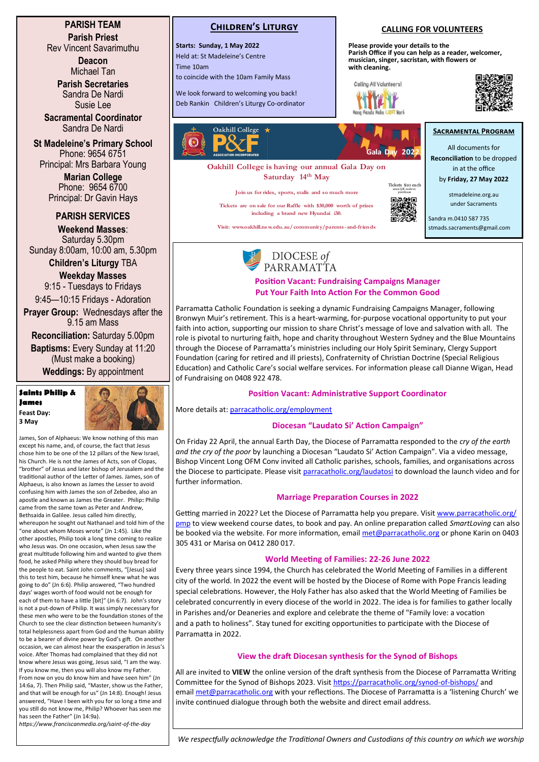**PARISH TEAM Parish Priest**

Rev Vincent Savarimuthu

**Deacon** Michael Tan

**Parish Secretaries** Sandra De Nardi Susie Lee

**Sacramental Coordinator** Sandra De Nardi

**St Madeleine's Primary School** Phone: 9654 6751 Principal: Mrs Barbara Young

> **Marian College** Phone: 9654 6700 Principal: Dr Gavin Hays

#### **PARISH SERVICES**

**Weekend Masses**: Saturday 5.30pm Sunday 8:00am, 10:00 am, 5.30pm

**Children's Liturgy** TBA **Weekday Masses** 

9:15 - Tuesdays to Fridays 9:45—10:15 Fridays - Adoration

**Prayer Group:** Wednesdays after the 9.15 am Mass

**Reconciliation:** Saturday 5.00pm **Baptisms:** Every Sunday at 11:20 (Must make a booking)

**Weddings:** By appointment

**Saints Philip & James Feast Day: 3 May**



James, Son of Alphaeus: We know nothing of this man except his name, and, of course, the fact that Jesus chose him to be one of the 12 pillars of the New Israel his Church. He is not the James of Acts, son of Clopas, "brother" of Jesus and later bishop of Jerusalem and the traditional author of the Letter of James. James, son of Alphaeus, is also known as James the Lesser to avoid confusing him with James the son of Zebedee, also an apostle and known as James the Greater. Philip**:** Philip came from the same town as Peter and Andrew, Bethsaida in Galilee. Jesus called him directly, whereupon he sought out Nathanael and told him of the "one about whom Moses wrote" (Jn 1:45). Like the other apostles, Philip took a long time coming to realize who Jesus was. On one occasion, when Jesus saw the great multitude following him and wanted to give them food, he asked Philip where they should buy bread for the people to eat. Saint John comments, "[Jesus] said this to test him, because he himself knew what he was going to do" (Jn 6:6). Philip answered, "Two hundred days' wages worth of food would not be enough for each of them to have a little [bit]" (Jn 6:7). John's story is not a put-down of Philip. It was simply necessary for these men who were to be the foundation stones of the Church to see the clear distinction between humanity's total helplessness apart from God and the human ability to be a bearer of divine power by God's gift. On another occasion, we can almost hear the exasperation in Jesus's voice. After Thomas had complained that they did not know where Jesus was going, Jesus said, "I am the way. If you know me, then you will also know my Father. From now on you do know him and have seen him" (Jn 14:6a, 7). Then Philip said, "Master, show us the Father, and that will be enough for us" (Jn 14:8). Enough! Jesus answered, "Have I been with you for so long a time and you still do not know me, Philip? Whoever has seen me has seen the Father" (Jn 14:9a).

*https://www.franciscanmedia.org/saint-of-the-day*



**Starts: Sunday, 1 May 2022** Held at: St Madeleine's Centre Time 10am

to coincide with the 10am Family Mass

We look forward to welcoming you back! Deb Rankin Children's Liturgy Co-ordinator



**Oakhill College is having our annual Gala Day on Saturday 14th May**

**Join us for rides, sports, stalls and so much more**

**Tickets are on sale for our Raffle with \$30,000 worth of prizes including a brand new Hyundai i30.**

**Visit: www.oakhill.ns w.edu.au/communit y/parents-and-friends**



**Gala Day 2022**

**CALLING FOR VOLUNTEERS**

**Parish Office if you can help as a reader, welcomer, musician, singer, sacristan, with flowers or** 

**Please provide your details to the** 

**with cleaning.**

Calling All Volunteers

All documents for **Reconciliation** to be dropped in at the office by **Friday, 27 May 2022**

**SACRAMENTAL PROGRAM** 

stmadeleine.org.au under Sacraments

Sandra m.0410 587 735 stmads.sacraments@gmail.com



#### **Position Vacant: Fundraising Campaigns Manager Put Your Faith Into Action For the Common Good**

Parramatta Catholic Foundation is seeking a dynamic Fundraising Campaigns Manager, following Bronwyn Muir's retirement. This is a heart-warming, for-purpose vocational opportunity to put your faith into action, supporting our mission to share Christ's message of love and salvation with all. The role is pivotal to nurturing faith, hope and charity throughout Western Sydney and the Blue Mountains through the Diocese of Parramatta's ministries including our Holy Spirit Seminary, Clergy Support Foundation (caring for retired and ill priests), Confraternity of Christian Doctrine (Special Religious Education) and Catholic Care's social welfare services. For information please call Dianne Wigan, Head of Fundraising on 0408 922 478.

### **Position Vacant: Administrative Support Coordinator**

More details at: [parracatholic.org/employment](http://parracatholic.org/employment)

### **Diocesan "Laudato Si' Action Campaign"**

On Friday 22 April, the annual Earth Day, the Diocese of Parramatta responded to the *cry of the earth and the cry of the poor* by launching a Diocesan "Laudato Si' Action Campaign". Via a video message, Bishop Vincent Long OFM Conv invited all Catholic parishes, schools, families, and organisations across the Diocese to participate. Please visit [parracatholic.org/laudatosi](http://parracatholic.org/laudatosi) to download the launch video and for further information.

### **Marriage Preparation Courses in 2022**

Getting married in 2022? Let the Diocese of Parramatta help you prepare. Visit [www.parracatholic.org/](http://www.parracatholic.org/pmp) [pmp](http://www.parracatholic.org/pmp) to view weekend course dates, to book and pay. An online preparation called *SmartLoving* can also be booked via the website. For more information, email [met@parracatholic.org](mailto:met@parracatholic.org) or phone Karin on 0403 305 431 or Marisa on 0412 280 017.

## **World Meeting of Families: 22-26 June 2022**

Every three years since 1994, the Church has celebrated the World Meeting of Families in a different city of the world. In 2022 the event will be hosted by the Diocese of Rome with Pope Francis leading special celebrations. However, the Holy Father has also asked that the World Meeting of Families be celebrated concurrently in every diocese of the world in 2022. The idea is for families to gather locally in Parishes and/or Deaneries and explore and celebrate the theme of "Family love: a vocation and a path to holiness". Stay tuned for exciting opportunities to participate with the Diocese of Parramatta in 2022.

### **View the draft Diocesan synthesis for the Synod of Bishops**

All are invited to **VIEW** the online version of the draft synthesis from the Diocese of Parramatta Writing Committee for the Synod of Bishops 2023. Visit [https://parracatholic.org/synod](https://parracatholic.org/synod-of-bishops/)-of-bishops/ and email [met@parracatholic.org](mailto:met@parracatholic.org) with your reflections. The Diocese of Parramatta is a 'listening Church' we invite continued dialogue through both the website and direct email address.